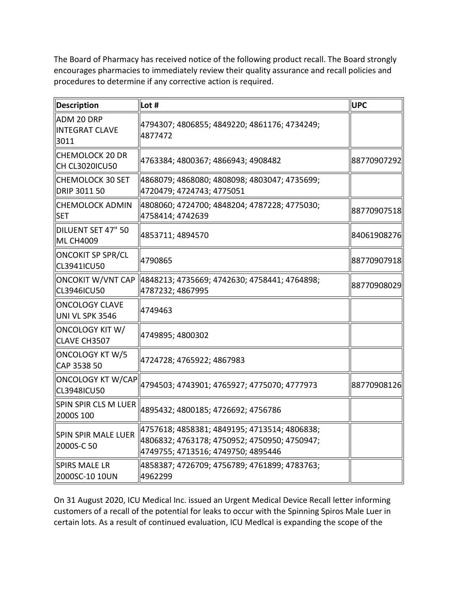The Board of Pharmacy has received notice of the following product recall. The Board strongly encourages pharmacies to immediately review their quality assurance and recall policies and procedures to determine if any corrective action is required.

| <b>Description</b>                             | Lot #                                                                                                                              | <b>UPC</b>  |
|------------------------------------------------|------------------------------------------------------------------------------------------------------------------------------------|-------------|
| ADM 20 DRP<br>INTEGRAT CLAVE<br>3011           | 4794307; 4806855; 4849220; 4861176; 4734249;<br>4877472                                                                            |             |
| CHEMOLOCK 20 DR<br>ICH CL3020ICU50             | 4763384; 4800367; 4866943; 4908482                                                                                                 | 88770907292 |
| ∥CHEMOLOCK 30 SET<br>DRIP 3011 50              | 4868079; 4868080; 4808098; 4803047; 4735699;<br>4720479; 4724743; 4775051                                                          |             |
| CHEMOLOCK ADMIN<br><b>SET</b>                  | 4808060; 4724700; 4848204; 4787228; 4775030;<br>4758414; 4742639                                                                   | 88770907518 |
| DILUENT SET 47" 50<br><b>ML CH4009</b>         | 4853711; 4894570                                                                                                                   | 84061908276 |
| <b>ONCOKIT SP SPR/CL</b><br><b>CL3941ICU50</b> | 4790865                                                                                                                            | 88770907918 |
| CL3946ICU50                                    | 4787232; 4867995                                                                                                                   | 88770908029 |
| <b>ONCOLOGY CLAVE</b><br>UNI VL SPK 3546       | 4749463                                                                                                                            |             |
| ONCOLOGY KIT W/<br>CLAVE CH3507                | 4749895; 4800302                                                                                                                   |             |
| ONCOLOGY KT W/5<br>CAP 3538 50                 | 4724728; 4765922; 4867983                                                                                                          |             |
| <b>ONCOLOGY KT W/CAP</b><br>CL3948ICU50        | 4794503; 4743901; 4765927; 4775070; 4777973                                                                                        | 88770908126 |
| SPIN SPIR CLS M LUER<br>2000S 100              | 4895432; 4800185; 4726692; 4756786                                                                                                 |             |
| SPIN SPIR MALE LUER<br>2000S-C 50              | 4757618; 4858381; 4849195; 4713514; 4806838;<br>4806832; 4763178; 4750952; 4750950; 4750947;<br>4749755; 4713516; 4749750; 4895446 |             |
| <b>SPIRS MALE LR</b><br>2000SC-10 10UN         | 4858387; 4726709; 4756789; 4761899; 4783763;<br>4962299                                                                            |             |

 On 31 August 2020, ICU Medical Inc. issued an Urgent Medical Device Recall letter informing customers of a recall of the potential for leaks to occur with the Spinning Spiros Male Luer in certain lots. As a result of continued evaluation, ICU Medlcal is expanding the scope of the